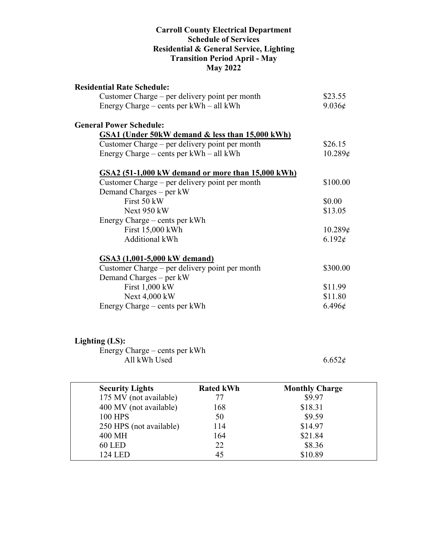#### **Carroll County Electrical Department Schedule of Services Residential & General Service, Lighting Transition Period April - May May 2022**

| <b>Residential Rate Schedule:</b>                 |                 |
|---------------------------------------------------|-----------------|
| Customer Charge – per delivery point per month    | \$23.55         |
| Energy Charge – cents per $kWh - all kWh$         | $9.036\epsilon$ |
| <b>General Power Schedule:</b>                    |                 |
| GSA1 (Under 50kW demand & less than 15,000 kWh)   |                 |
| Customer Charge – per delivery point per month    | \$26.15         |
| Energy Charge – cents per $kWh - all kWh$         | 10.289¢         |
| GSA2 (51-1,000 kW demand or more than 15,000 kWh) |                 |
| Customer Charge – per delivery point per month    | \$100.00        |
| Demand Charges – per kW                           |                 |
| First 50 kW                                       | \$0.00          |
| Next 950 kW                                       | \$13.05         |
| Energy Charge – cents per kWh                     |                 |
| First 15,000 kWh                                  | 10.289¢         |
| <b>Additional kWh</b>                             | $6.192\epsilon$ |
| GSA3 (1,001-5,000 kW demand)                      |                 |
| Customer Charge – per delivery point per month    | \$300.00        |
| Demand Charges – per kW                           |                 |
| First 1,000 kW                                    | \$11.99         |
| Next 4,000 kW                                     | \$11.80         |
| Energy Charge – cents per kWh                     | $6.496\ell$     |

## **Lighting (LS):**

Energy Charge – cents per kWh All kWh Used  $6.652\phi$ 

| <b>Security Lights</b>  | <b>Rated kWh</b> | <b>Monthly Charge</b> |
|-------------------------|------------------|-----------------------|
| 175 MV (not available)  | 77               | \$9.97                |
| 400 MV (not available)  | 168              | \$18.31               |
| <b>100 HPS</b>          | 50               | \$9.59                |
| 250 HPS (not available) | 114              | \$14.97               |
| 400 MH                  | 164              | \$21.84               |
| <b>60 LED</b>           | 22               | \$8.36                |
| 124 LED                 | 45               | \$10.89               |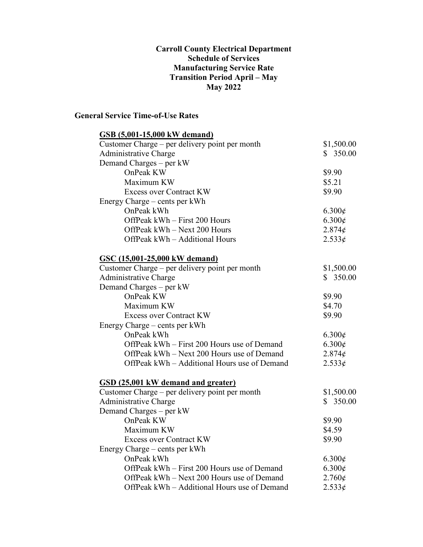#### **Carroll County Electrical Department Schedule of Services Manufacturing Service Rate Transition Period April – May May 2022**

### **General Service Time-of-Use Rates**

| GSB (5,001-15,000 kW demand)                   |                 |
|------------------------------------------------|-----------------|
| Customer Charge – per delivery point per month | \$1,500.00      |
| <b>Administrative Charge</b>                   | \$350.00        |
| Demand Charges - per kW                        |                 |
| OnPeak KW                                      | \$9.90          |
| Maximum KW                                     | \$5.21          |
| <b>Excess over Contract KW</b>                 | \$9.90          |
| Energy Charge – cents per kWh                  |                 |
| OnPeak kWh                                     | $6.300\epsilon$ |
| OffPeak kWh - First 200 Hours                  | 6.300¢          |
| OffPeak kWh - Next 200 Hours                   | $2.874\phi$     |
| OffPeak kWh - Additional Hours                 | 2.533¢          |
| <u>GSC (15,001-25,000 kW demand)</u>           |                 |
| Customer Charge – per delivery point per month | \$1,500.00      |
| Administrative Charge                          | \$350.00        |
| Demand Charges – per kW                        |                 |
| OnPeak KW                                      | \$9.90          |
| Maximum KW                                     | \$4.70          |
| <b>Excess over Contract KW</b>                 | \$9.90          |
| Energy Charge – cents per kWh                  |                 |
| OnPeak kWh                                     | $6.300\epsilon$ |
| OffPeak kWh - First 200 Hours use of Demand    | $6.300\epsilon$ |
| OffPeak kWh – Next 200 Hours use of Demand     | 2.874¢          |
| OffPeak kWh – Additional Hours use of Demand   | 2.533¢          |
| GSD (25,001 kW demand and greater)             |                 |
| Customer Charge - per delivery point per month | \$1,500.00      |
| Administrative Charge                          | \$350.00        |
| Demand Charges – per kW                        |                 |
| OnPeak KW                                      | \$9.90          |
| Maximum KW                                     | \$4.59          |
| <b>Excess over Contract KW</b>                 | \$9.90          |
| Energy Charge – cents per kWh                  |                 |
| OnPeak kWh                                     | 6.300¢          |
| OffPeak kWh – First 200 Hours use of Demand    | 6.300¢          |
| OffPeak kWh - Next 200 Hours use of Demand     | 2.760¢          |
| OffPeak kWh – Additional Hours use of Demand   | 2.533¢          |